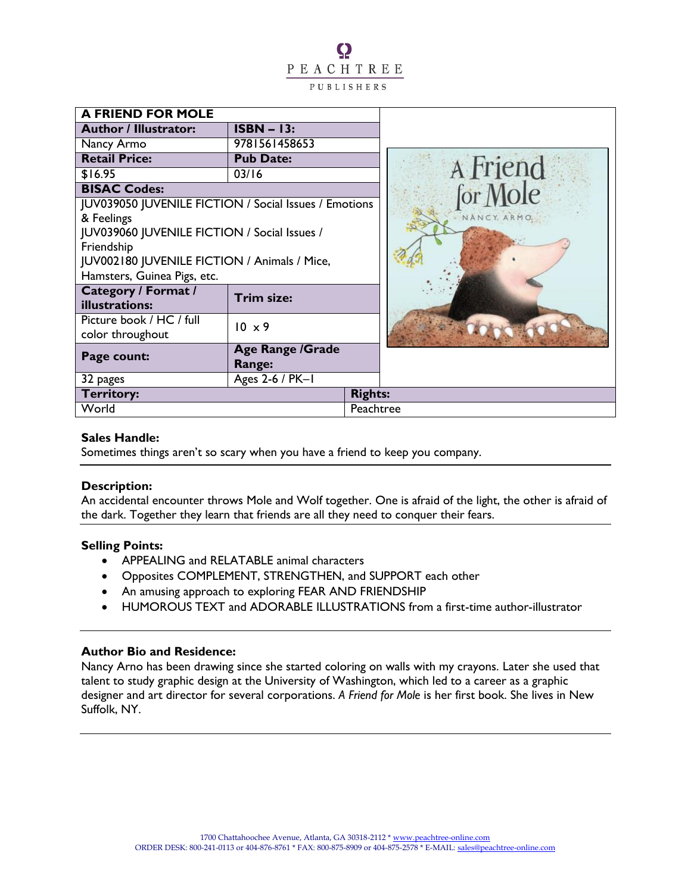O PEACHTREE PUBLISHERS

| <b>A FRIEND FOR MOLE</b>                                     |                                   |                |                      |
|--------------------------------------------------------------|-----------------------------------|----------------|----------------------|
| <b>Author / Illustrator:</b>                                 | $ISBN - 13:$                      |                |                      |
| Nancy Armo                                                   | 9781561458653                     |                |                      |
| <b>Retail Price:</b>                                         | <b>Pub Date:</b>                  |                |                      |
| \$16.95                                                      | 03/16                             |                |                      |
| <b>BISAC Codes:</b>                                          |                                   |                | A Friend<br>for Mole |
| <b>JUV039050 JUVENILE FICTION / Social Issues / Emotions</b> |                                   |                |                      |
| & Feelings                                                   |                                   |                | Y. ARMO.             |
| JUV039060 JUVENILE FICTION / Social Issues /                 |                                   |                |                      |
| Friendship                                                   |                                   |                |                      |
| JUV002180 JUVENILE FICTION / Animals / Mice,                 |                                   |                |                      |
| Hamsters, Guinea Pigs, etc.                                  |                                   |                |                      |
| <b>Category / Format /</b><br>illustrations:                 | Trim size:                        |                |                      |
| Picture book / HC / full                                     | $10 \times 9$                     |                |                      |
| color throughout                                             |                                   |                |                      |
| Page count:                                                  | <b>Age Range /Grade</b><br>Range: |                |                      |
| 32 pages                                                     | Ages 2-6 / PK-1                   |                |                      |
| Territory:                                                   |                                   | <b>Rights:</b> |                      |
| World                                                        |                                   | Peachtree      |                      |

### **Sales Handle:**

Sometimes things aren't so scary when you have a friend to keep you company.

### **Description:**

An accidental encounter throws Mole and Wolf together. One is afraid of the light, the other is afraid of the dark. Together they learn that friends are all they need to conquer their fears.

## **Selling Points:**

- APPEALING and RELATABLE animal characters
- Opposites COMPLEMENT, STRENGTHEN, and SUPPORT each other
- An amusing approach to exploring FEAR AND FRIENDSHIP
- HUMOROUS TEXT and ADORABLE ILLUSTRATIONS from a first-time author-illustrator

### **Author Bio and Residence:**

Nancy Arno has been drawing since she started coloring on walls with my crayons. Later she used that talent to study graphic design at the University of Washington, which led to a career as a graphic designer and art director for several corporations. *A Friend for Mole* is her first book. She lives in New Suffolk, NY.